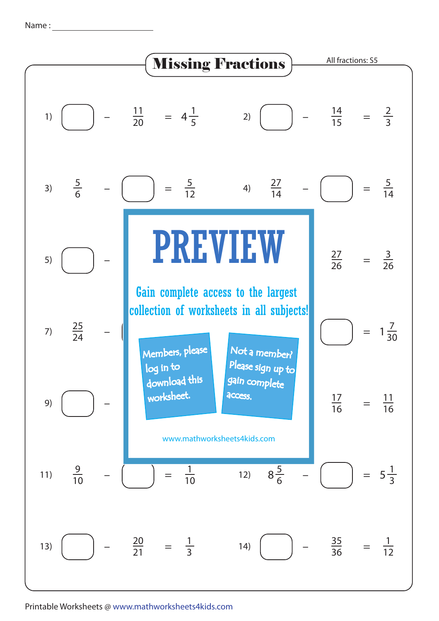